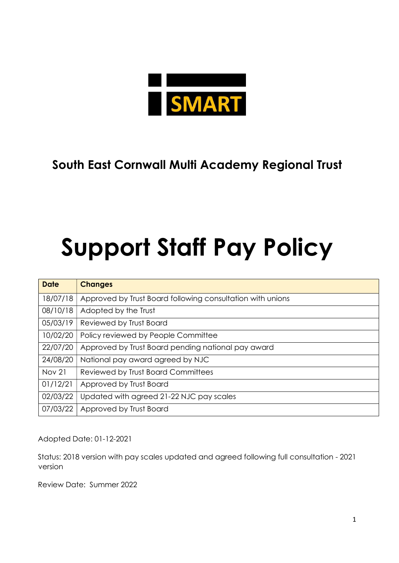

# South East Cornwall Multi Academy Regional Trust

# Support Staff Pay Policy

| <b>Date</b>   | <b>Changes</b>                                             |
|---------------|------------------------------------------------------------|
| 18/07/18      | Approved by Trust Board following consultation with unions |
| 08/10/18      | Adopted by the Trust                                       |
| 05/03/19      | Reviewed by Trust Board                                    |
| 10/02/20      | Policy reviewed by People Committee                        |
| 22/07/20      | Approved by Trust Board pending national pay award         |
| 24/08/20      | National pay award agreed by NJC                           |
| <b>Nov 21</b> | Reviewed by Trust Board Committees                         |
| 01/12/21      | Approved by Trust Board                                    |
| 02/03/22      | Updated with agreed 21-22 NJC pay scales                   |
| 07/03/22      | Approved by Trust Board                                    |

Adopted Date: 01-12-2021

Status: 2018 version with pay scales updated and agreed following full consultation - 2021 version

Review Date: Summer 2022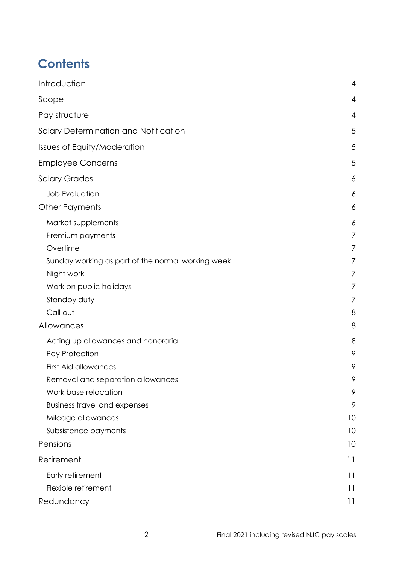# **Contents**

| Introduction                                      | 4              |
|---------------------------------------------------|----------------|
| Scope                                             | 4              |
| Pay structure                                     | 4              |
| Salary Determination and Notification             | 5              |
| Issues of Equity/Moderation                       | 5              |
| <b>Employee Concerns</b>                          | 5              |
| <b>Salary Grades</b>                              | 6              |
| <b>Job Evaluation</b>                             | 6              |
| <b>Other Payments</b>                             | 6              |
| Market supplements                                | 6              |
| Premium payments                                  | $\overline{7}$ |
| Overtime                                          | 7              |
| Sunday working as part of the normal working week | 7              |
| Night work                                        | 7              |
| Work on public holidays                           | 7              |
| Standby duty                                      | 7              |
| Call out                                          | 8              |
| Allowances                                        | 8              |
| Acting up allowances and honoraria                | 8              |
| Pay Protection                                    | 9              |
| <b>First Aid allowances</b>                       | 9              |
| Removal and separation allowances                 | 9              |
| Work base relocation                              | 9              |
| <b>Business travel and expenses</b>               | 9              |
| Mileage allowances                                | 10             |
| Subsistence payments                              | 10             |
| Pensions                                          | 10             |
| Retirement                                        | 11             |
| Early retirement                                  | 11             |
| Flexible retirement                               | 11             |
| Redundancy                                        | 11             |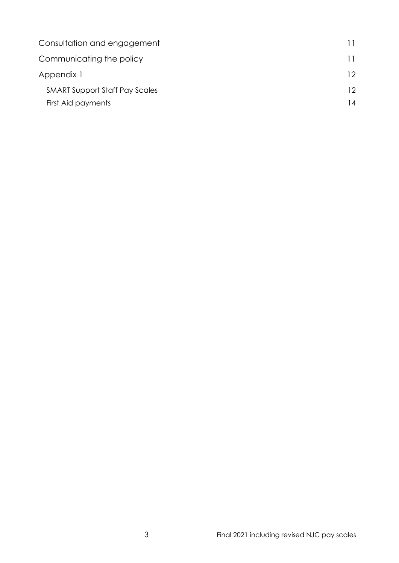| Consultation and engagement           |     |
|---------------------------------------|-----|
| Communicating the policy              |     |
| Appendix 1                            |     |
| <b>SMART Support Staff Pay Scales</b> | 12. |
| First Aid payments                    | 14  |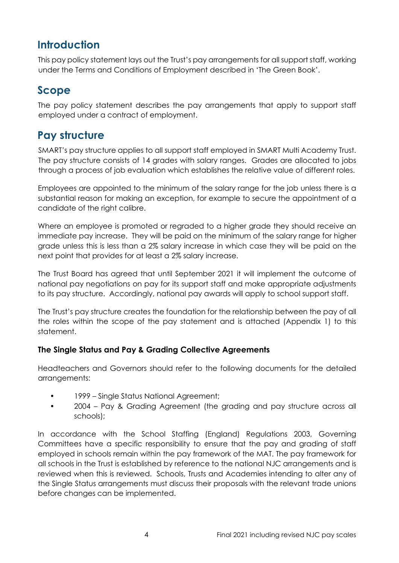## **Introduction**

This pay policy statement lays out the Trust's pay arrangements for all support staff, working under the Terms and Conditions of Employment described in 'The Green Book'.

## Scope

The pay policy statement describes the pay arrangements that apply to support staff employed under a contract of employment.

## Pay structure

 SMART's pay structure applies to all support staff employed in SMART Multi Academy Trust. The pay structure consists of 14 grades with salary ranges. Grades are allocated to jobs through a process of job evaluation which establishes the relative value of different roles.

Employees are appointed to the minimum of the salary range for the job unless there is a substantial reason for making an exception, for example to secure the appointment of a candidate of the right calibre.

Where an employee is promoted or regraded to a higher grade they should receive an immediate pay increase. They will be paid on the minimum of the salary range for higher grade unless this is less than a 2% salary increase in which case they will be paid on the next point that provides for at least a 2% salary increase.

The Trust Board has agreed that until September 2021 it will implement the outcome of national pay negotiations on pay for its support staff and make appropriate adjustments to its pay structure. Accordingly, national pay awards will apply to school support staff.

The Trust's pay structure creates the foundation for the relationship between the pay of all the roles within the scope of the pay statement and is attached (Appendix 1) to this statement.

#### The Single Status and Pay & Grading Collective Agreements

Headteachers and Governors should refer to the following documents for the detailed arrangements:

- 1999 Single Status National Agreement;
- 2004 Pay & Grading Agreement (the grading and pay structure across all schools);

In accordance with the School Staffing (England) Regulations 2003, Governing Committees have a specific responsibility to ensure that the pay and grading of staff employed in schools remain within the pay framework of the MAT. The pay framework for all schools in the Trust is established by reference to the national NJC arrangements and is reviewed when this is reviewed. Schools, Trusts and Academies intending to alter any of the Single Status arrangements must discuss their proposals with the relevant trade unions before changes can be implemented.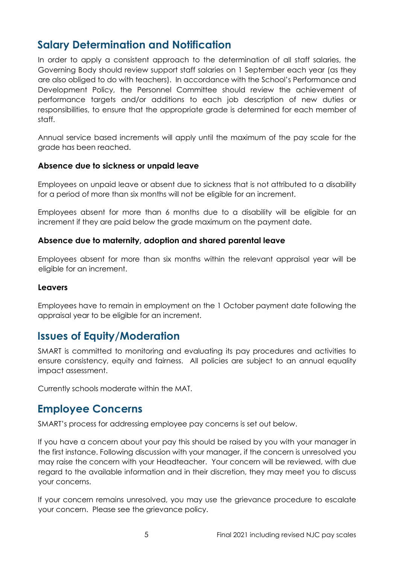## Salary Determination and Notification

In order to apply a consistent approach to the determination of all staff salaries, the Governing Body should review support staff salaries on 1 September each year (as they are also obliged to do with teachers). In accordance with the School's Performance and Development Policy, the Personnel Committee should review the achievement of performance targets and/or additions to each job description of new duties or responsibilities, to ensure that the appropriate grade is determined for each member of staff.

Annual service based increments will apply until the maximum of the pay scale for the grade has been reached.

#### Absence due to sickness or unpaid leave

Employees on unpaid leave or absent due to sickness that is not attributed to a disability for a period of more than six months will not be eligible for an increment.

Employees absent for more than 6 months due to a disability will be eligible for an increment if they are paid below the grade maximum on the payment date.

#### Absence due to maternity, adoption and shared parental leave

Employees absent for more than six months within the relevant appraisal year will be eligible for an increment.

#### Leavers

Employees have to remain in employment on the 1 October payment date following the appraisal year to be eligible for an increment.

## Issues of Equity/Moderation

SMART is committed to monitoring and evaluating its pay procedures and activities to ensure consistency, equity and fairness. All policies are subject to an annual equality impact assessment.

Currently schools moderate within the MAT.

### Employee Concerns

SMART's process for addressing employee pay concerns is set out below.

If you have a concern about your pay this should be raised by you with your manager in the first instance. Following discussion with your manager, if the concern is unresolved you may raise the concern with your Headteacher. Your concern will be reviewed, with due regard to the available information and in their discretion, they may meet you to discuss your concerns.

If your concern remains unresolved, you may use the grievance procedure to escalate your concern. Please see the grievance policy.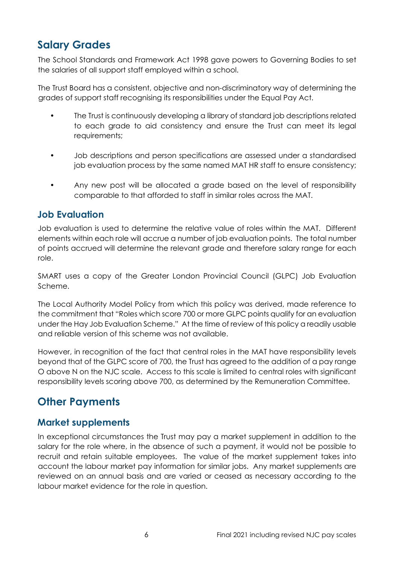## Salary Grades

The School Standards and Framework Act 1998 gave powers to Governing Bodies to set the salaries of all support staff employed within a school.

The Trust Board has a consistent, objective and non-discriminatory way of determining the grades of support staff recognising its responsibilities under the Equal Pay Act.

- The Trust is continuously developing a library of standard job descriptions related to each grade to aid consistency and ensure the Trust can meet its legal requirements;
- Job descriptions and person specifications are assessed under a standardised job evaluation process by the same named MAT HR staff to ensure consistency;
- Any new post will be allocated a grade based on the level of responsibility comparable to that afforded to staff in similar roles across the MAT.

#### Job Evaluation

Job evaluation is used to determine the relative value of roles within the MAT. Different elements within each role will accrue a number of job evaluation points. The total number of points accrued will determine the relevant grade and therefore salary range for each role.

SMART uses a copy of the Greater London Provincial Council (GLPC) Job Evaluation Scheme.

The Local Authority Model Policy from which this policy was derived, made reference to the commitment that "Roles which score 700 or more GLPC points qualify for an evaluation under the Hay Job Evaluation Scheme." At the time of review of this policy a readily usable and reliable version of this scheme was not available.

However, in recognition of the fact that central roles in the MAT have responsibility levels beyond that of the GLPC score of 700, the Trust has agreed to the addition of a pay range O above N on the NJC scale. Access to this scale is limited to central roles with significant responsibility levels scoring above 700, as determined by the Remuneration Committee.

## Other Payments

### Market supplements

In exceptional circumstances the Trust may pay a market supplement in addition to the salary for the role where, in the absence of such a payment, it would not be possible to recruit and retain suitable employees. The value of the market supplement takes into account the labour market pay information for similar jobs. Any market supplements are reviewed on an annual basis and are varied or ceased as necessary according to the labour market evidence for the role in question.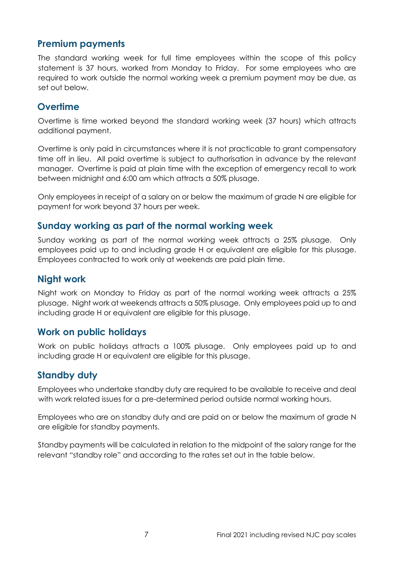#### Premium payments

The standard working week for full time employees within the scope of this policy statement is 37 hours, worked from Monday to Friday. For some employees who are required to work outside the normal working week a premium payment may be due, as set out below.

#### **Overtime**

Overtime is time worked beyond the standard working week (37 hours) which attracts additional payment.

Overtime is only paid in circumstances where it is not practicable to grant compensatory time off in lieu. All paid overtime is subject to authorisation in advance by the relevant manager. Overtime is paid at plain time with the exception of emergency recall to work between midnight and 6:00 am which attracts a 50% plusage.

Only employees in receipt of a salary on or below the maximum of grade N are eligible for payment for work beyond 37 hours per week.

#### Sunday working as part of the normal working week

Sunday working as part of the normal working week attracts a 25% plusage. Only employees paid up to and including grade H or equivalent are eligible for this plusage. Employees contracted to work only at weekends are paid plain time.

#### Night work

Night work on Monday to Friday as part of the normal working week attracts a 25% plusage. Night work at weekends attracts a 50% plusage. Only employees paid up to and including grade H or equivalent are eligible for this plusage.

#### Work on public holidays

Work on public holidays attracts a 100% plusage. Only employees paid up to and including grade H or equivalent are eligible for this plusage.

#### Standby duty

Employees who undertake standby duty are required to be available to receive and deal with work related issues for a pre-determined period outside normal working hours.

Employees who are on standby duty and are paid on or below the maximum of grade N are eligible for standby payments.

Standby payments will be calculated in relation to the midpoint of the salary range for the relevant "standby role" and according to the rates set out in the table below.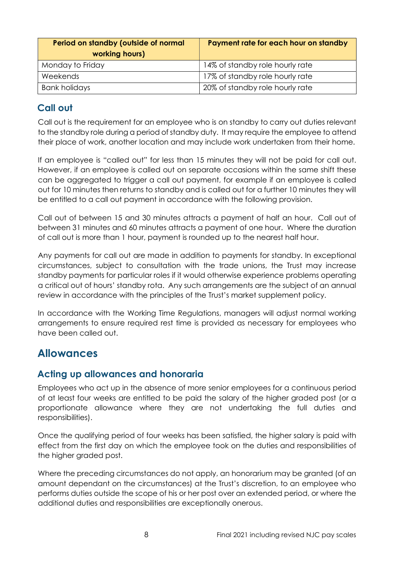| Period on standby (outside of normal<br>working hours) | Payment rate for each hour on standby |
|--------------------------------------------------------|---------------------------------------|
| Monday to Friday                                       | 14% of standby role hourly rate       |
| Weekends                                               | 17% of standby role hourly rate       |
| <b>Bank holidays</b>                                   | 20% of standby role hourly rate       |

#### Call out

Call out is the requirement for an employee who is on standby to carry out duties relevant to the standby role during a period of standby duty. It may require the employee to attend their place of work, another location and may include work undertaken from their home.

If an employee is "called out" for less than 15 minutes they will not be paid for call out. However, if an employee is called out on separate occasions within the same shift these can be aggregated to trigger a call out payment, for example if an employee is called out for 10 minutes then returns to standby and is called out for a further 10 minutes they will be entitled to a call out payment in accordance with the following provision.

Call out of between 15 and 30 minutes attracts a payment of half an hour. Call out of between 31 minutes and 60 minutes attracts a payment of one hour. Where the duration of call out is more than 1 hour, payment is rounded up to the nearest half hour.

Any payments for call out are made in addition to payments for standby. In exceptional circumstances, subject to consultation with the trade unions, the Trust may increase standby payments for particular roles if it would otherwise experience problems operating a critical out of hours' standby rota. Any such arrangements are the subject of an annual review in accordance with the principles of the Trust's market supplement policy.

In accordance with the Working Time Regulations, managers will adjust normal working arrangements to ensure required rest time is provided as necessary for employees who have been called out.

### Allowances

#### Acting up allowances and honoraria

Employees who act up in the absence of more senior employees for a continuous period of at least four weeks are entitled to be paid the salary of the higher graded post (or a proportionate allowance where they are not undertaking the full duties and responsibilities).

Once the qualifying period of four weeks has been satisfied, the higher salary is paid with effect from the first day on which the employee took on the duties and responsibilities of the higher graded post.

Where the preceding circumstances do not apply, an honorarium may be granted (of an amount dependant on the circumstances) at the Trust's discretion, to an employee who performs duties outside the scope of his or her post over an extended period, or where the additional duties and responsibilities are exceptionally onerous.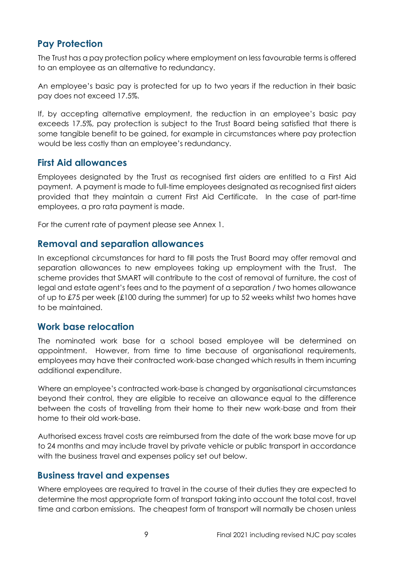### Pay Protection

The Trust has a pay protection policy where employment on less favourable terms is offered to an employee as an alternative to redundancy.

An employee's basic pay is protected for up to two years if the reduction in their basic pay does not exceed 17.5%.

If, by accepting alternative employment, the reduction in an employee's basic pay exceeds 17.5%, pay protection is subject to the Trust Board being satisfied that there is some tangible benefit to be gained, for example in circumstances where pay protection would be less costly than an employee's redundancy.

#### First Aid allowances

Employees designated by the Trust as recognised first aiders are entitled to a First Aid payment. A payment is made to full-time employees designated as recognised first aiders provided that they maintain a current First Aid Certificate. In the case of part-time employees, a pro rata payment is made.

For the current rate of payment please see Annex 1.

#### Removal and separation allowances

In exceptional circumstances for hard to fill posts the Trust Board may offer removal and separation allowances to new employees taking up employment with the Trust. The scheme provides that SMART will contribute to the cost of removal of furniture, the cost of legal and estate agent's fees and to the payment of a separation / two homes allowance of up to £75 per week (£100 during the summer) for up to 52 weeks whilst two homes have to be maintained.

#### Work base relocation

The nominated work base for a school based employee will be determined on appointment. However, from time to time because of organisational requirements, employees may have their contracted work-base changed which results in them incurring additional expenditure.

Where an employee's contracted work-base is changed by organisational circumstances beyond their control, they are eligible to receive an allowance equal to the difference between the costs of travelling from their home to their new work-base and from their home to their old work-base.

Authorised excess travel costs are reimbursed from the date of the work base move for up to 24 months and may include travel by private vehicle or public transport in accordance with the business travel and expenses policy set out below.

#### Business travel and expenses

Where employees are required to travel in the course of their duties they are expected to determine the most appropriate form of transport taking into account the total cost, travel time and carbon emissions. The cheapest form of transport will normally be chosen unless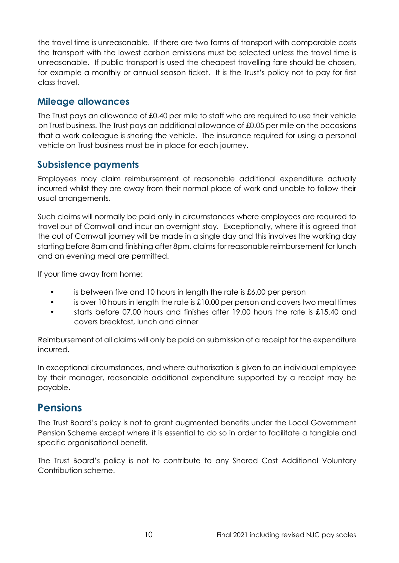the travel time is unreasonable. If there are two forms of transport with comparable costs the transport with the lowest carbon emissions must be selected unless the travel time is unreasonable. If public transport is used the cheapest travelling fare should be chosen, for example a monthly or annual season ticket. It is the Trust's policy not to pay for first class travel.

#### Mileage allowances

The Trust pays an allowance of £0.40 per mile to staff who are required to use their vehicle on Trust business. The Trust pays an additional allowance of £0.05 per mile on the occasions that a work colleague is sharing the vehicle. The insurance required for using a personal vehicle on Trust business must be in place for each journey.

#### Subsistence payments

Employees may claim reimbursement of reasonable additional expenditure actually incurred whilst they are away from their normal place of work and unable to follow their usual arrangements.

Such claims will normally be paid only in circumstances where employees are required to travel out of Cornwall and incur an overnight stay. Exceptionally, where it is agreed that the out of Cornwall journey will be made in a single day and this involves the working day starting before 8am and finishing after 8pm, claims for reasonable reimbursement for lunch and an evening meal are permitted.

If your time away from home:

- is between five and 10 hours in length the rate is  $£6.00$  per person
- is over 10 hours in length the rate is  $\pounds10.00$  per person and covers two meal times
- starts before 07.00 hours and finishes after 19.00 hours the rate is £15.40 and covers breakfast, lunch and dinner

Reimbursement of all claims will only be paid on submission of a receipt for the expenditure incurred.

In exceptional circumstances, and where authorisation is given to an individual employee by their manager, reasonable additional expenditure supported by a receipt may be payable.

## Pensions

The Trust Board's policy is not to grant augmented benefits under the Local Government Pension Scheme except where it is essential to do so in order to facilitate a tangible and specific organisational benefit.

The Trust Board's policy is not to contribute to any Shared Cost Additional Voluntary Contribution scheme.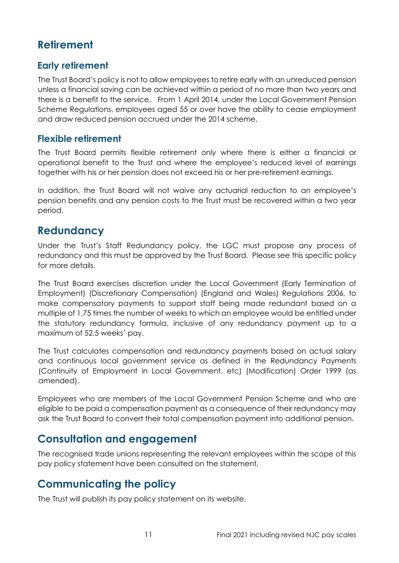## **Retirement**

#### Early retirement

The Trust Board's policy is not to allow employees to retire early with an unreduced pension unless a financial saving can be achieved within a period of no more than two years and there is a benefit to the service. From 1 April 2014, under the Local Government Pension Scheme Regulations, employees aged 55 or over have the ability to cease employment and draw reduced pension accrued under the 2014 scheme.

#### Flexible retirement

The Trust Board permits flexible retirement only where there is either a financial or operational benefit to the Trust and where the employee's reduced level of earnings together with his or her pension does not exceed his or her pre-retirement earnings.

In addition, the Trust Board will not waive any actuarial reduction to an employee's pension benefits and any pension costs to the Trust must be recovered within a two year period.

## **Redundancy**

Under the Trust's Staff Redundancy policy, the LGC must propose any process of redundancy and this must be approved by the Trust Board. Please see this specific policy for more details.

The Trust Board exercises discretion under the Local Government (Early Termination of Employment) (Discretionary Compensation) (England and Wales) Regulations 2006, to make compensatory payments to support staff being made redundant based on a multiple of 1.75 times the number of weeks to which an employee would be entitled under the statutory redundancy formula, inclusive of any redundancy payment up to a maximum of 52.5 weeks' pay.

The Trust calculates compensation and redundancy payments based on actual salary and continuous local government service as defined in the Redundancy Payments (Continuity of Employment in Local Government, etc) (Modification) Order 1999 (as amended).

Employees who are members of the Local Government Pension Scheme and who are eligible to be paid a compensation payment as a consequence of their redundancy may ask the Trust Board to convert their total compensation payment into additional pension.

## Consultation and engagement

The recognised trade unions representing the relevant employees within the scope of this pay policy statement have been consulted on the statement.

## Communicating the policy

The Trust will publish its pay policy statement on its website.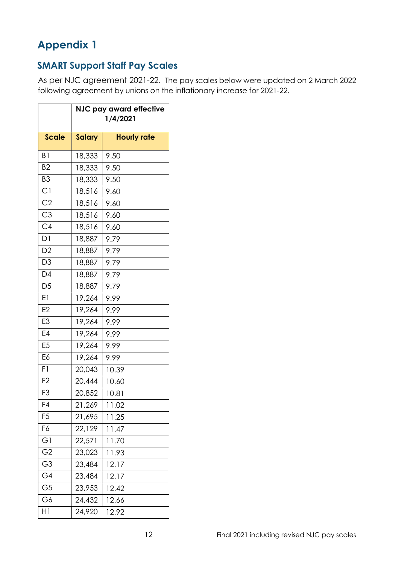## Appendix 1

## SMART Support Staff Pay Scales

As per NJC agreement 2021-22. The pay scales below were updated on 2 March 2022 following agreement by unions on the inflationary increase for 2021-22.

|                | NJC pay award effective<br>1/4/2021 |                    |
|----------------|-------------------------------------|--------------------|
| <b>Scale</b>   | <b>Salary</b>                       | <b>Hourly rate</b> |
| B1             | 18,333                              | 9.50               |
| B <sub>2</sub> | 18,333                              | 9.50               |
| B <sub>3</sub> | 18,333                              | 9.50               |
| C1             | 18,516                              | 9.60               |
| C <sub>2</sub> | 18,516                              | 9.60               |
| C3             | 18,516                              | 9.60               |
| C4             | 18,516                              | 9.60               |
| D <sub>1</sub> | 18,887                              | 9.79               |
| D <sub>2</sub> | 18,887                              | 9.79               |
| D <sub>3</sub> | 18,887                              | 9.79               |
| D4             | 18,887                              | 9.79               |
| D <sub>5</sub> | 18,887                              | 9.79               |
| E1             | 19,264                              | 9.99               |
| E <sub>2</sub> | 19,264                              | 9.99               |
| E <sub>3</sub> | 19,264                              | 9.99               |
| E4             | 19,264                              | 9.99               |
| E <sub>5</sub> | 19,264                              | 9.99               |
| E6             | 19,264                              | 9.99               |
| F1             | 20,043                              | 10.39              |
| F <sub>2</sub> | 20,444                              | 10.60              |
| F <sub>3</sub> | 20,852                              | 10.81              |
| F4             | 21,269                              | 11.02              |
| F <sub>5</sub> | 21,695                              | 11.25              |
| F6             | 22,129                              | 11.47              |
| G1             | 22,571                              | 11.70              |
| G <sub>2</sub> | 23,023                              | 11.93              |
| G3             | 23,484                              | 12.17              |
| G4             | 23,484                              | 12.17              |
| G <sub>5</sub> | 23,953                              | 12.42              |
| G6             | 24,432                              | 12.66              |
| H1             | 24,920                              | 12.92              |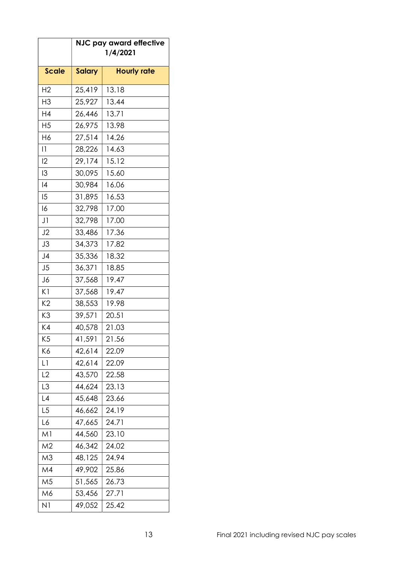|                  | NJC pay award effective<br>1/4/2021 |                    |  |
|------------------|-------------------------------------|--------------------|--|
| <b>Scale</b>     | <b>Salary</b>                       | <b>Hourly rate</b> |  |
| H <sub>2</sub>   | 25,419                              | 13.18              |  |
| H <sub>3</sub>   | 25,927                              | 13.44              |  |
| H4               | 26,446                              | 13.71              |  |
| H <sub>5</sub>   | 26,975                              | 13.98              |  |
| H6               | 27,514                              | 14.26              |  |
| $\vert \, \vert$ | 28,226                              | 14.63              |  |
| 12               | 29,174                              | 15.12              |  |
| 13               | 30,095                              | 15.60              |  |
| 4                | 30,984                              | 16.06              |  |
| 15               | 31,895                              | 16.53              |  |
| 16               | 32,798                              | 17.00              |  |
| J1               | 32,798                              | 17.00              |  |
| J2               | 33,486                              | 17.36              |  |
| J3               | 34,373                              | 17.82              |  |
| J <sub>4</sub>   | 35,336                              | 18.32              |  |
| J5               | 36,371                              | 18.85              |  |
| J6               | 37,568                              | 19.47              |  |
| K1               | 37,568                              | 19.47              |  |
| K2               | 38,553                              | 19.98              |  |
| K3               | 39,571                              | 20.51              |  |
| K4               | 40,578                              | 21.03              |  |
| K5               | 41,591                              | 21.56              |  |
| Κ6               | 42,614                              | 22.09              |  |
| L1               | 42,614                              | 22.09              |  |
| L2               | 43,570                              | 22.58              |  |
| L3               | 44,624                              | 23.13              |  |
| $\lfloor 4$      | 45,648                              | 23.66              |  |
| L <sub>5</sub>   | 46,662                              | 24.19              |  |
| L6               | 47,665                              | 24.71              |  |
| Μl               | 44,560                              | 23.10              |  |
| M2               | 46,342                              | 24.02              |  |
| M3               | 48,125                              | 24.94              |  |
| M4               | 49,902                              | 25.86              |  |
| M5               | 51,565                              | 26.73              |  |
| M6               | 53,456                              | 27.71              |  |
| N <sub>1</sub>   | 49,052                              | 25.42              |  |